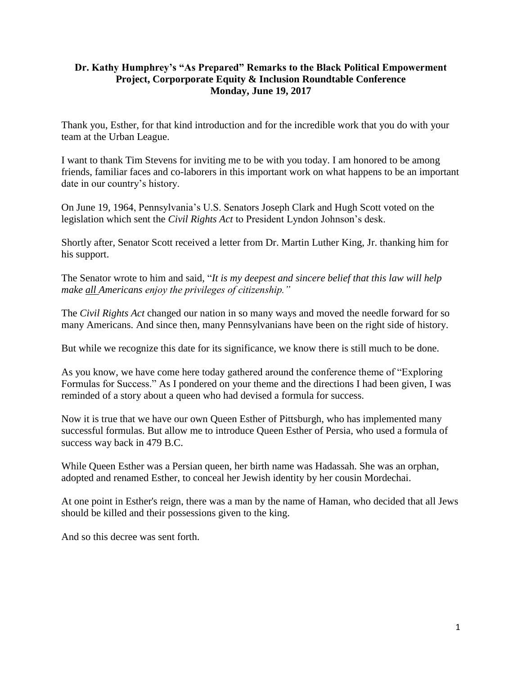## **Dr. Kathy Humphrey's "As Prepared" Remarks to the Black Political Empowerment Project, Corporporate Equity & Inclusion Roundtable Conference Monday, June 19, 2017**

Thank you, Esther, for that kind introduction and for the incredible work that you do with your team at the Urban League.

I want to thank Tim Stevens for inviting me to be with you today. I am honored to be among friends, familiar faces and co-laborers in this important work on what happens to be an important date in our country's history.

On June 19, 1964, Pennsylvania's U.S. Senators Joseph Clark and Hugh Scott voted on the legislation which sent the *Civil Rights Act* to President Lyndon Johnson's desk.

Shortly after, Senator Scott received a letter from Dr. Martin Luther King, Jr. thanking him for his support.

The Senator wrote to him and said, "*It is my deepest and sincere belief that this law will help make all Americans enjoy the privileges of citizenship."*

The *Civil Rights Act* changed our nation in so many ways and moved the needle forward for so many Americans. And since then, many Pennsylvanians have been on the right side of history.

But while we recognize this date for its significance, we know there is still much to be done.

As you know, we have come here today gathered around the conference theme of "Exploring Formulas for Success." As I pondered on your theme and the directions I had been given, I was reminded of a story about a queen who had devised a formula for success.

Now it is true that we have our own Queen Esther of Pittsburgh, who has implemented many successful formulas. But allow me to introduce Queen Esther of Persia, who used a formula of success way back in 479 B.C.

While Queen Esther was a Persian queen, her birth name was Hadassah. She was an orphan, adopted and renamed Esther, to conceal her Jewish identity by her cousin Mordechai.

At one point in Esther's reign, there was a man by the name of Haman, who decided that all Jews should be killed and their possessions given to the king.

And so this decree was sent forth.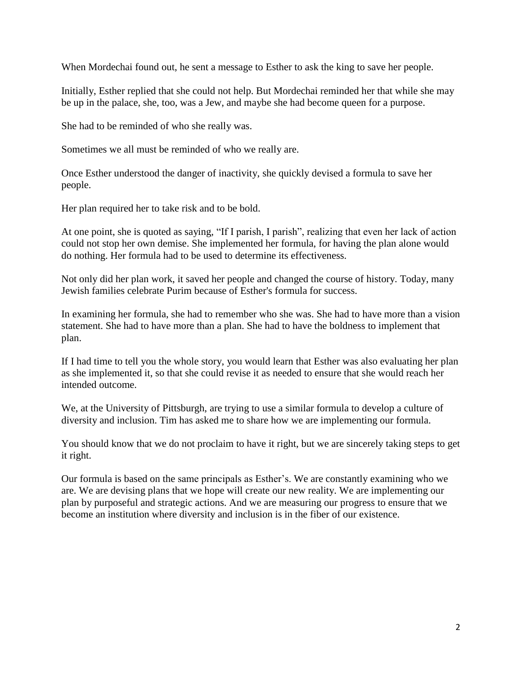When Mordechai found out, he sent a message to Esther to ask the king to save her people.

Initially, Esther replied that she could not help. But Mordechai reminded her that while she may be up in the palace, she, too, was a Jew, and maybe she had become queen for a purpose.

She had to be reminded of who she really was.

Sometimes we all must be reminded of who we really are.

Once Esther understood the danger of inactivity, she quickly devised a formula to save her people.

Her plan required her to take risk and to be bold.

At one point, she is quoted as saying, "If I parish, I parish", realizing that even her lack of action could not stop her own demise. She implemented her formula, for having the plan alone would do nothing. Her formula had to be used to determine its effectiveness.

Not only did her plan work, it saved her people and changed the course of history. Today, many Jewish families celebrate Purim because of Esther's formula for success.

In examining her formula, she had to remember who she was. She had to have more than a vision statement. She had to have more than a plan. She had to have the boldness to implement that plan.

If I had time to tell you the whole story, you would learn that Esther was also evaluating her plan as she implemented it, so that she could revise it as needed to ensure that she would reach her intended outcome.

We, at the University of Pittsburgh, are trying to use a similar formula to develop a culture of diversity and inclusion. Tim has asked me to share how we are implementing our formula.

You should know that we do not proclaim to have it right, but we are sincerely taking steps to get it right.

Our formula is based on the same principals as Esther's. We are constantly examining who we are. We are devising plans that we hope will create our new reality. We are implementing our plan by purposeful and strategic actions. And we are measuring our progress to ensure that we become an institution where diversity and inclusion is in the fiber of our existence.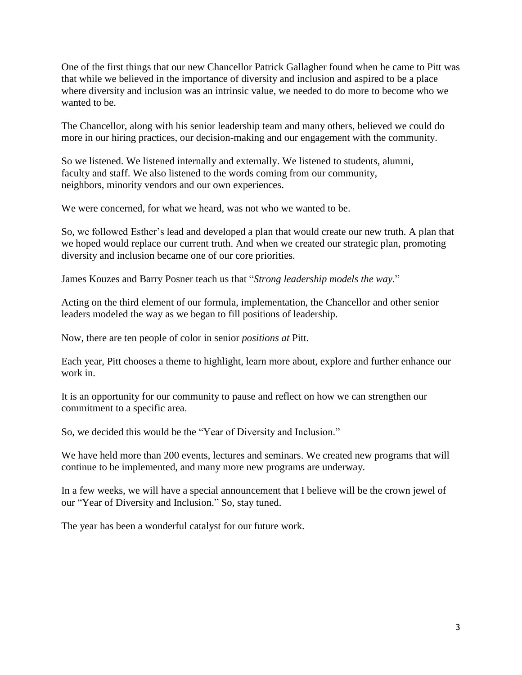One of the first things that our new Chancellor Patrick Gallagher found when he came to Pitt was that while we believed in the importance of diversity and inclusion and aspired to be a place where diversity and inclusion was an intrinsic value, we needed to do more to become who we wanted to be.

The Chancellor, along with his senior leadership team and many others, believed we could do more in our hiring practices, our decision-making and our engagement with the community.

So we listened. We listened internally and externally. We listened to students, alumni, faculty and staff. We also listened to the words coming from our community, neighbors, minority vendors and our own experiences.

We were concerned, for what we heard, was not who we wanted to be.

So, we followed Esther's lead and developed a plan that would create our new truth. A plan that we hoped would replace our current truth. And when we created our strategic plan, promoting diversity and inclusion became one of our core priorities.

James Kouzes and Barry Posner teach us that "*Strong leadership models the way*."

Acting on the third element of our formula, implementation, the Chancellor and other senior leaders modeled the way as we began to fill positions of leadership.

Now, there are ten people of color in senior *positions at* Pitt.

Each year, Pitt chooses a theme to highlight, learn more about, explore and further enhance our work in.

It is an opportunity for our community to pause and reflect on how we can strengthen our commitment to a specific area.

So, we decided this would be the "Year of Diversity and Inclusion."

We have held more than 200 events, lectures and seminars. We created new programs that will continue to be implemented, and many more new programs are underway.

In a few weeks, we will have a special announcement that I believe will be the crown jewel of our "Year of Diversity and Inclusion." So, stay tuned.

The year has been a wonderful catalyst for our future work.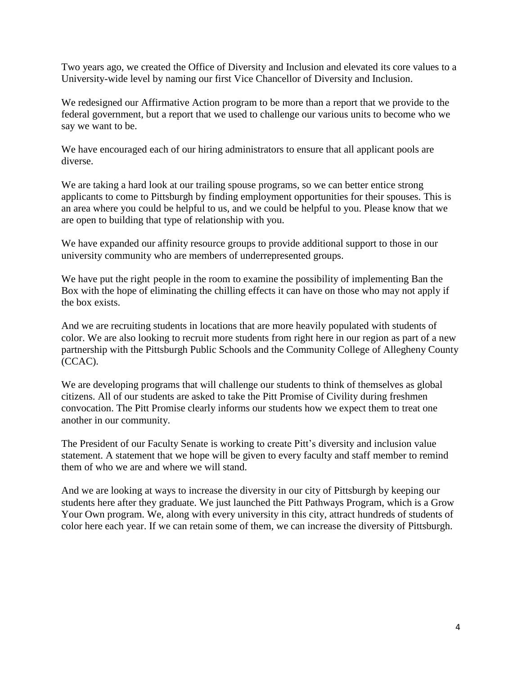Two years ago, we created the Office of Diversity and Inclusion and elevated its core values to a University-wide level by naming our first Vice Chancellor of Diversity and Inclusion.

We redesigned our Affirmative Action program to be more than a report that we provide to the federal government, but a report that we used to challenge our various units to become who we say we want to be.

We have encouraged each of our hiring administrators to ensure that all applicant pools are diverse.

We are taking a hard look at our trailing spouse programs, so we can better entice strong applicants to come to Pittsburgh by finding employment opportunities for their spouses. This is an area where you could be helpful to us, and we could be helpful to you. Please know that we are open to building that type of relationship with you.

We have expanded our affinity resource groups to provide additional support to those in our university community who are members of underrepresented groups.

We have put the right people in the room to examine the possibility of implementing Ban the Box with the hope of eliminating the chilling effects it can have on those who may not apply if the box exists.

And we are recruiting students in locations that are more heavily populated with students of color. We are also looking to recruit more students from right here in our region as part of a new partnership with the Pittsburgh Public Schools and the Community College of Allegheny County (CCAC).

We are developing programs that will challenge our students to think of themselves as global citizens. All of our students are asked to take the Pitt Promise of Civility during freshmen convocation. The Pitt Promise clearly informs our students how we expect them to treat one another in our community.

The President of our Faculty Senate is working to create Pitt's diversity and inclusion value statement. A statement that we hope will be given to every faculty and staff member to remind them of who we are and where we will stand.

And we are looking at ways to increase the diversity in our city of Pittsburgh by keeping our students here after they graduate. We just launched the Pitt Pathways Program, which is a Grow Your Own program. We, along with every university in this city, attract hundreds of students of color here each year. If we can retain some of them, we can increase the diversity of Pittsburgh.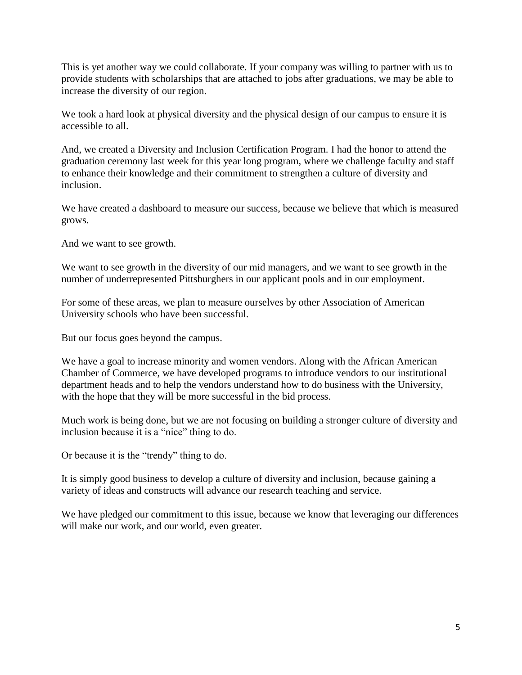This is yet another way we could collaborate. If your company was willing to partner with us to provide students with scholarships that are attached to jobs after graduations, we may be able to increase the diversity of our region.

We took a hard look at physical diversity and the physical design of our campus to ensure it is accessible to all.

And, we created a Diversity and Inclusion Certification Program. I had the honor to attend the graduation ceremony last week for this year long program, where we challenge faculty and staff to enhance their knowledge and their commitment to strengthen a culture of diversity and inclusion.

We have created a dashboard to measure our success, because we believe that which is measured grows.

And we want to see growth.

We want to see growth in the diversity of our mid managers, and we want to see growth in the number of underrepresented Pittsburghers in our applicant pools and in our employment.

For some of these areas, we plan to measure ourselves by other Association of American University schools who have been successful.

But our focus goes beyond the campus.

We have a goal to increase minority and women vendors. Along with the African American Chamber of Commerce, we have developed programs to introduce vendors to our institutional department heads and to help the vendors understand how to do business with the University, with the hope that they will be more successful in the bid process.

Much work is being done, but we are not focusing on building a stronger culture of diversity and inclusion because it is a "nice" thing to do.

Or because it is the "trendy" thing to do.

It is simply good business to develop a culture of diversity and inclusion, because gaining a variety of ideas and constructs will advance our research teaching and service.

We have pledged our commitment to this issue, because we know that leveraging our differences will make our work, and our world, even greater.